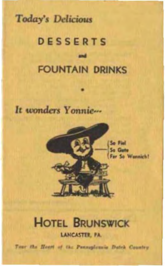## **Today's Delicious**

## **DESSERTS**

## **FOUNTAIN DRINKS**

It wonders Yonnie-

ar So Wannich!

# **HOTEL BRUNSWICK LANCASTER, PA.**

Tear the Heart of the Pannipleasia Datch Country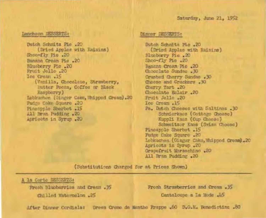#### Saturday, June 21, 1952

#### Lunchson DESSERTS:

Dutch Schnitz Pie .20 (Dried Apples with Raisins) Shoo-fly Pie .20 Bunana Cream Pie .20 Riusberry Pie .20 Fruit Jello .20 Ice Cream .15 (Vanilla, Chocolate, Strawborry, lutter Pecan, Coffee or Black Raspberry) Lubkuchen (Ginger Cake, Whipped Cream).20 Fudge Cake Square .20 Pineapple Sherbet .15 All Bran Pudding .20 Auricots in Syrup .20

#### Dinner DESSERTS:

Dutch Schnitz Pie .20 (Dried Apples with Ruisins) Blueberry Pie . 20 Shoo-fly Pie .20 Banana Cream Pie .20 Chocolate Sundae .30 Crushed Cherry Sundae .30 Cheese and Crackers .30 Cherry Tart .20 Chocolate Eclair .20 Fruit Jello .20 Ice Cream .15 Pa. Dutch Cheeses with Saltines .30 Schrierkass (Cottage Cheese) Kuppli Kass (Cup Cheese) Schweitzer Kaes (Swiss Cheese) Pinsapole Sherbet .15 Fudge Cake Square .20 Lebkuchen (Ginger Cake, Whipped Cream). 20 Apricots in Syrup .20 Grapefruit Maraschino .20 All Bran Pudding .20

(Substitutions Charged for at Prices Shown)

A la Carte DESSERTS:

Fresh Blueberries and Cream .35 Chilled Watermelon .25

Presh Strawberries and Cream .35 Cantaloupe a la Mode .45

After Dinner Cordials: Green Creme de Manthe Prappe .60 D.O.M. Benedictine .80